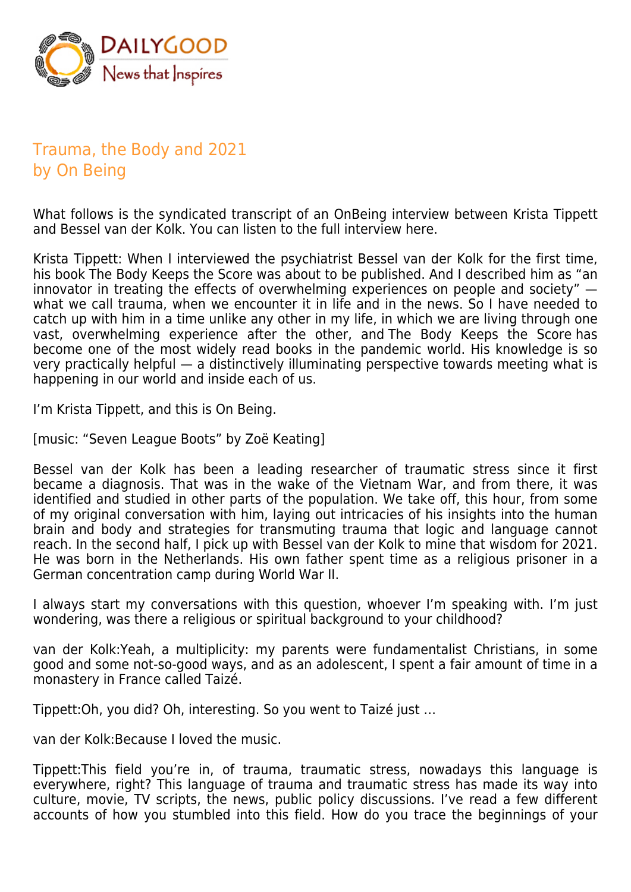

## Trauma, the Body and 2021 by On Being

What follows is the syndicated transcript of an OnBeing interview between Krista Tippett and Bessel van der Kolk. You can listen to the full interview here.

Krista Tippett: When I interviewed the psychiatrist Bessel van der Kolk for the first time, his book The Body Keeps the Score was about to be published. And I described him as "an innovator in treating the effects of overwhelming experiences on people and society" what we call trauma, when we encounter it in life and in the news. So I have needed to catch up with him in a time unlike any other in my life, in which we are living through one vast, overwhelming experience after the other, and The Body Keeps the Score has become one of the most widely read books in the pandemic world. His knowledge is so very practically helpful — a distinctively illuminating perspective towards meeting what is happening in our world and inside each of us.

I'm Krista Tippett, and this is On Being.

[music: "Seven League Boots" by Zoë Keating]

Bessel van der Kolk has been a leading researcher of traumatic stress since it first became a diagnosis. That was in the wake of the Vietnam War, and from there, it was identified and studied in other parts of the population. We take off, this hour, from some of my original conversation with him, laying out intricacies of his insights into the human brain and body and strategies for transmuting trauma that logic and language cannot reach. In the second half, I pick up with Bessel van der Kolk to mine that wisdom for 2021. He was born in the Netherlands. His own father spent time as a religious prisoner in a German concentration camp during World War II.

I always start my conversations with this question, whoever I'm speaking with. I'm just wondering, was there a religious or spiritual background to your childhood?

van der Kolk:Yeah, a multiplicity: my parents were fundamentalist Christians, in some good and some not-so-good ways, and as an adolescent, I spent a fair amount of time in a monastery in France called Taizé.

Tippett:Oh, you did? Oh, interesting. So you went to Taizé just …

van der Kolk:Because I loved the music.

Tippett:This field you're in, of trauma, traumatic stress, nowadays this language is everywhere, right? This language of trauma and traumatic stress has made its way into culture, movie, TV scripts, the news, public policy discussions. I've read a few different accounts of how you stumbled into this field. How do you trace the beginnings of your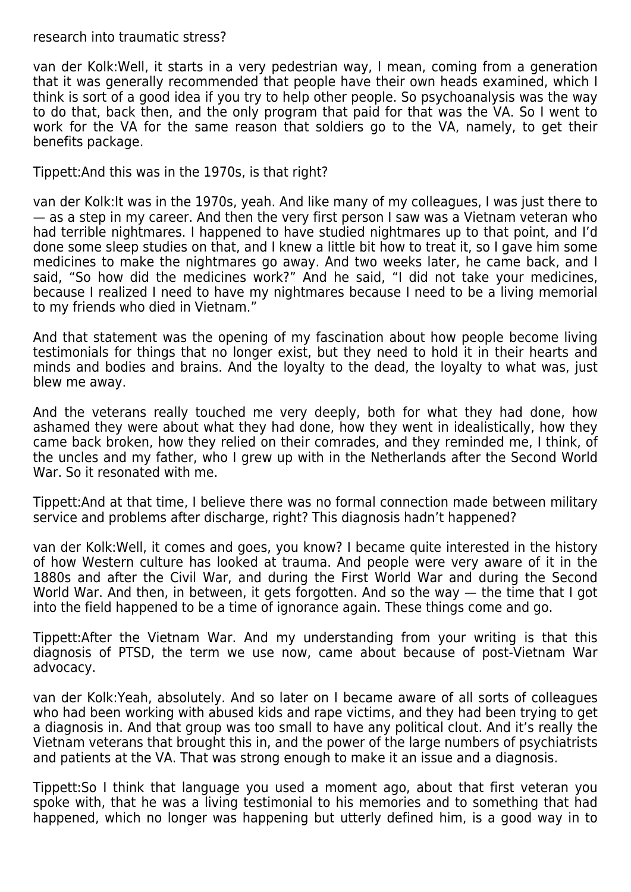## research into traumatic stress?

van der Kolk:Well, it starts in a very pedestrian way, I mean, coming from a generation that it was generally recommended that people have their own heads examined, which I think is sort of a good idea if you try to help other people. So psychoanalysis was the way to do that, back then, and the only program that paid for that was the VA. So I went to work for the VA for the same reason that soldiers go to the VA, namely, to get their benefits package.

Tippett:And this was in the 1970s, is that right?

van der Kolk:It was in the 1970s, yeah. And like many of my colleagues, I was just there to — as a step in my career. And then the very first person I saw was a Vietnam veteran who had terrible nightmares. I happened to have studied nightmares up to that point, and I'd done some sleep studies on that, and I knew a little bit how to treat it, so I gave him some medicines to make the nightmares go away. And two weeks later, he came back, and I said, "So how did the medicines work?" And he said, "I did not take your medicines, because I realized I need to have my nightmares because I need to be a living memorial to my friends who died in Vietnam."

And that statement was the opening of my fascination about how people become living testimonials for things that no longer exist, but they need to hold it in their hearts and minds and bodies and brains. And the loyalty to the dead, the loyalty to what was, just blew me away.

And the veterans really touched me very deeply, both for what they had done, how ashamed they were about what they had done, how they went in idealistically, how they came back broken, how they relied on their comrades, and they reminded me, I think, of the uncles and my father, who I grew up with in the Netherlands after the Second World War. So it resonated with me.

Tippett:And at that time, I believe there was no formal connection made between military service and problems after discharge, right? This diagnosis hadn't happened?

van der Kolk:Well, it comes and goes, you know? I became quite interested in the history of how Western culture has looked at trauma. And people were very aware of it in the 1880s and after the Civil War, and during the First World War and during the Second World War. And then, in between, it gets forgotten. And so the way — the time that I got into the field happened to be a time of ignorance again. These things come and go.

Tippett:After the Vietnam War. And my understanding from your writing is that this diagnosis of PTSD, the term we use now, came about because of post-Vietnam War advocacy.

van der Kolk:Yeah, absolutely. And so later on I became aware of all sorts of colleagues who had been working with abused kids and rape victims, and they had been trying to get a diagnosis in. And that group was too small to have any political clout. And it's really the Vietnam veterans that brought this in, and the power of the large numbers of psychiatrists and patients at the VA. That was strong enough to make it an issue and a diagnosis.

Tippett:So I think that language you used a moment ago, about that first veteran you spoke with, that he was a living testimonial to his memories and to something that had happened, which no longer was happening but utterly defined him, is a good way in to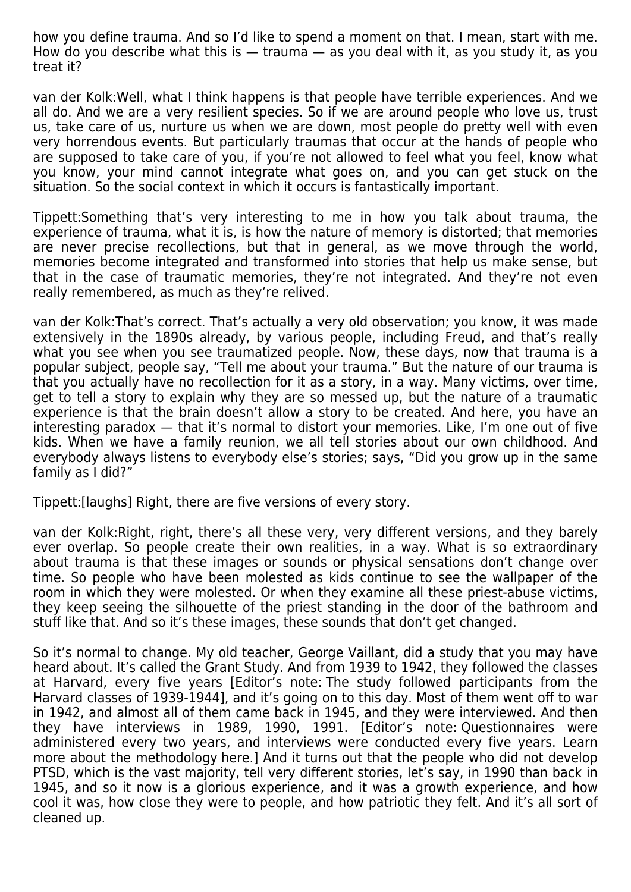how you define trauma. And so I'd like to spend a moment on that. I mean, start with me. How do you describe what this is  $-$  trauma  $-$  as you deal with it, as you study it, as you treat it?

van der Kolk:Well, what I think happens is that people have terrible experiences. And we all do. And we are a very resilient species. So if we are around people who love us, trust us, take care of us, nurture us when we are down, most people do pretty well with even very horrendous events. But particularly traumas that occur at the hands of people who are supposed to take care of you, if you're not allowed to feel what you feel, know what you know, your mind cannot integrate what goes on, and you can get stuck on the situation. So the social context in which it occurs is fantastically important.

Tippett:Something that's very interesting to me in how you talk about trauma, the experience of trauma, what it is, is how the nature of memory is distorted; that memories are never precise recollections, but that in general, as we move through the world, memories become integrated and transformed into stories that help us make sense, but that in the case of traumatic memories, they're not integrated. And they're not even really remembered, as much as they're relived.

van der Kolk:That's correct. That's actually a very old observation; you know, it was made extensively in the 1890s already, by various people, including Freud, and that's really what you see when you see traumatized people. Now, these days, now that trauma is a popular subject, people say, "Tell me about your trauma." But the nature of our trauma is that you actually have no recollection for it as a story, in a way. Many victims, over time, get to tell a story to explain why they are so messed up, but the nature of a traumatic experience is that the brain doesn't allow a story to be created. And here, you have an interesting paradox — that it's normal to distort your memories. Like, I'm one out of five kids. When we have a family reunion, we all tell stories about our own childhood. And everybody always listens to everybody else's stories; says, "Did you grow up in the same family as I did?"

Tippett:[laughs] Right, there are five versions of every story.

van der Kolk:Right, right, there's all these very, very different versions, and they barely ever overlap. So people create their own realities, in a way. What is so extraordinary about trauma is that these images or sounds or physical sensations don't change over time. So people who have been molested as kids continue to see the wallpaper of the room in which they were molested. Or when they examine all these priest-abuse victims, they keep seeing the silhouette of the priest standing in the door of the bathroom and stuff like that. And so it's these images, these sounds that don't get changed.

So it's normal to change. My old teacher, George Vaillant, did a study that you may have heard about. It's called the Grant Study. And from 1939 to 1942, they followed the classes at Harvard, every five years [Editor's note: The study followed participants from the Harvard classes of 1939-1944], and it's going on to this day. Most of them went off to war in 1942, and almost all of them came back in 1945, and they were interviewed. And then they have interviews in 1989, 1990, 1991. [Editor's note: Questionnaires were administered every two years, and interviews were conducted every five years. Learn more about the methodology here.] And it turns out that the people who did not develop PTSD, which is the vast majority, tell very different stories, let's say, in 1990 than back in 1945, and so it now is a glorious experience, and it was a growth experience, and how cool it was, how close they were to people, and how patriotic they felt. And it's all sort of cleaned up.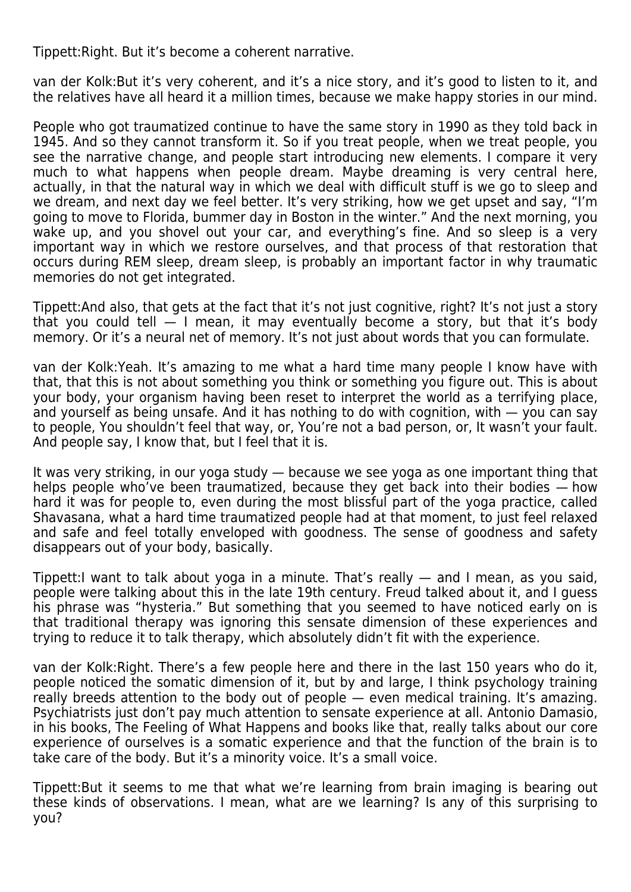Tippett:Right. But it's become a coherent narrative.

van der Kolk:But it's very coherent, and it's a nice story, and it's good to listen to it, and the relatives have all heard it a million times, because we make happy stories in our mind.

People who got traumatized continue to have the same story in 1990 as they told back in 1945. And so they cannot transform it. So if you treat people, when we treat people, you see the narrative change, and people start introducing new elements. I compare it very much to what happens when people dream. Maybe dreaming is very central here, actually, in that the natural way in which we deal with difficult stuff is we go to sleep and we dream, and next day we feel better. It's very striking, how we get upset and say, "I'm going to move to Florida, bummer day in Boston in the winter." And the next morning, you wake up, and you shovel out your car, and everything's fine. And so sleep is a very important way in which we restore ourselves, and that process of that restoration that occurs during REM sleep, dream sleep, is probably an important factor in why traumatic memories do not get integrated.

Tippett:And also, that gets at the fact that it's not just cognitive, right? It's not just a story that you could tell  $-1$  mean, it may eventually become a story, but that it's body memory. Or it's a neural net of memory. It's not just about words that you can formulate.

van der Kolk:Yeah. It's amazing to me what a hard time many people I know have with that, that this is not about something you think or something you figure out. This is about your body, your organism having been reset to interpret the world as a terrifying place, and yourself as being unsafe. And it has nothing to do with cognition, with — you can say to people, You shouldn't feel that way, or, You're not a bad person, or, It wasn't your fault. And people say, I know that, but I feel that it is.

It was very striking, in our yoga study — because we see yoga as one important thing that helps people who've been traumatized, because they get back into their bodies — how hard it was for people to, even during the most blissful part of the yoga practice, called Shavasana, what a hard time traumatized people had at that moment, to just feel relaxed and safe and feel totally enveloped with goodness. The sense of goodness and safety disappears out of your body, basically.

Tippett:I want to talk about yoga in a minute. That's really — and I mean, as you said, people were talking about this in the late 19th century. Freud talked about it, and I guess his phrase was "hysteria." But something that you seemed to have noticed early on is that traditional therapy was ignoring this sensate dimension of these experiences and trying to reduce it to talk therapy, which absolutely didn't fit with the experience.

van der Kolk:Right. There's a few people here and there in the last 150 years who do it, people noticed the somatic dimension of it, but by and large, I think psychology training really breeds attention to the body out of people — even medical training. It's amazing. Psychiatrists just don't pay much attention to sensate experience at all. Antonio Damasio, in his books, The Feeling of What Happens and books like that, really talks about our core experience of ourselves is a somatic experience and that the function of the brain is to take care of the body. But it's a minority voice. It's a small voice.

Tippett:But it seems to me that what we're learning from brain imaging is bearing out these kinds of observations. I mean, what are we learning? Is any of this surprising to you?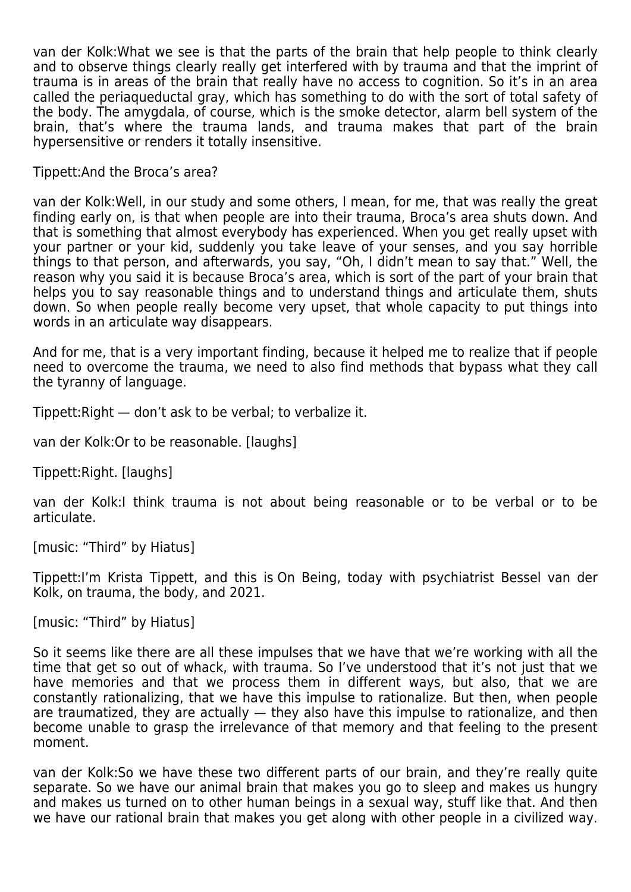van der Kolk:What we see is that the parts of the brain that help people to think clearly and to observe things clearly really get interfered with by trauma and that the imprint of trauma is in areas of the brain that really have no access to cognition. So it's in an area called the periaqueductal gray, which has something to do with the sort of total safety of the body. The amygdala, of course, which is the smoke detector, alarm bell system of the brain, that's where the trauma lands, and trauma makes that part of the brain hypersensitive or renders it totally insensitive.

Tippett:And the Broca's area?

van der Kolk:Well, in our study and some others, I mean, for me, that was really the great finding early on, is that when people are into their trauma, Broca's area shuts down. And that is something that almost everybody has experienced. When you get really upset with your partner or your kid, suddenly you take leave of your senses, and you say horrible things to that person, and afterwards, you say, "Oh, I didn't mean to say that." Well, the reason why you said it is because Broca's area, which is sort of the part of your brain that helps you to say reasonable things and to understand things and articulate them, shuts down. So when people really become very upset, that whole capacity to put things into words in an articulate way disappears.

And for me, that is a very important finding, because it helped me to realize that if people need to overcome the trauma, we need to also find methods that bypass what they call the tyranny of language.

Tippett:Right — don't ask to be verbal; to verbalize it.

van der Kolk:Or to be reasonable. [laughs]

Tippett:Right. [laughs]

van der Kolk:I think trauma is not about being reasonable or to be verbal or to be articulate.

[music: "Third" by Hiatus]

Tippett:I'm Krista Tippett, and this is On Being, today with psychiatrist Bessel van der Kolk, on trauma, the body, and 2021.

[music: "Third" by Hiatus]

So it seems like there are all these impulses that we have that we're working with all the time that get so out of whack, with trauma. So I've understood that it's not just that we have memories and that we process them in different ways, but also, that we are constantly rationalizing, that we have this impulse to rationalize. But then, when people are traumatized, they are actually — they also have this impulse to rationalize, and then become unable to grasp the irrelevance of that memory and that feeling to the present moment.

van der Kolk:So we have these two different parts of our brain, and they're really quite separate. So we have our animal brain that makes you go to sleep and makes us hungry and makes us turned on to other human beings in a sexual way, stuff like that. And then we have our rational brain that makes you get along with other people in a civilized way.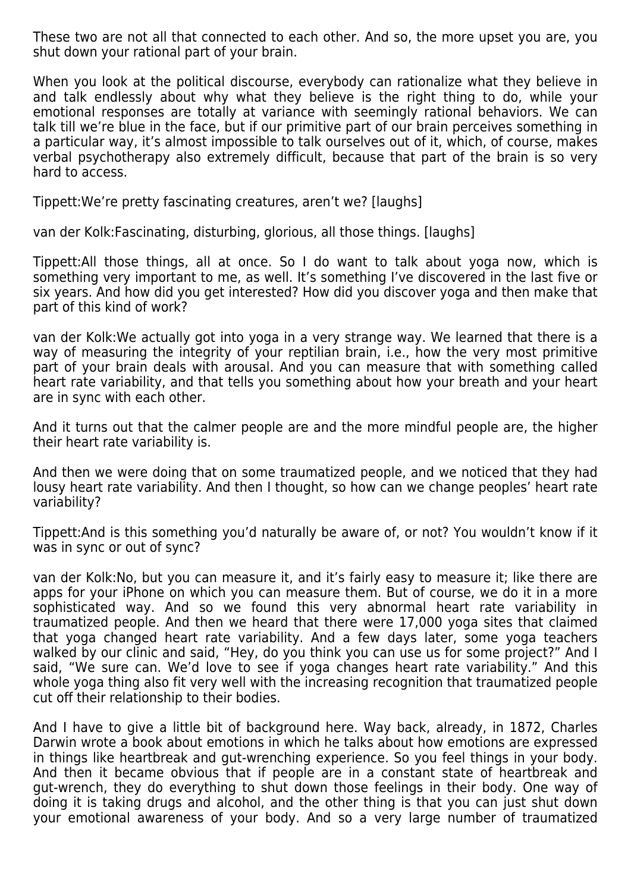These two are not all that connected to each other. And so, the more upset you are, you shut down your rational part of your brain.

When you look at the political discourse, everybody can rationalize what they believe in and talk endlessly about why what they believe is the right thing to do, while your emotional responses are totally at variance with seemingly rational behaviors. We can talk till we're blue in the face, but if our primitive part of our brain perceives something in a particular way, it's almost impossible to talk ourselves out of it, which, of course, makes verbal psychotherapy also extremely difficult, because that part of the brain is so very hard to access.

Tippett:We're pretty fascinating creatures, aren't we? [laughs]

van der Kolk:Fascinating, disturbing, glorious, all those things. [laughs]

Tippett:All those things, all at once. So I do want to talk about yoga now, which is something very important to me, as well. It's something I've discovered in the last five or six years. And how did you get interested? How did you discover yoga and then make that part of this kind of work?

van der Kolk:We actually got into yoga in a very strange way. We learned that there is a way of measuring the integrity of your reptilian brain, i.e., how the very most primitive part of your brain deals with arousal. And you can measure that with something called heart rate variability, and that tells you something about how your breath and your heart are in sync with each other.

And it turns out that the calmer people are and the more mindful people are, the higher their heart rate variability is.

And then we were doing that on some traumatized people, and we noticed that they had lousy heart rate variability. And then I thought, so how can we change peoples' heart rate variability?

Tippett:And is this something you'd naturally be aware of, or not? You wouldn't know if it was in sync or out of sync?

van der Kolk:No, but you can measure it, and it's fairly easy to measure it; like there are apps for your iPhone on which you can measure them. But of course, we do it in a more sophisticated way. And so we found this very abnormal heart rate variability in traumatized people. And then we heard that there were 17,000 yoga sites that claimed that yoga changed heart rate variability. And a few days later, some yoga teachers walked by our clinic and said, "Hey, do you think you can use us for some project?" And I said, "We sure can. We'd love to see if yoga changes heart rate variability." And this whole yoga thing also fit very well with the increasing recognition that traumatized people cut off their relationship to their bodies.

And I have to give a little bit of background here. Way back, already, in 1872, Charles Darwin wrote a book about emotions in which he talks about how emotions are expressed in things like heartbreak and gut-wrenching experience. So you feel things in your body. And then it became obvious that if people are in a constant state of heartbreak and gut-wrench, they do everything to shut down those feelings in their body. One way of doing it is taking drugs and alcohol, and the other thing is that you can just shut down your emotional awareness of your body. And so a very large number of traumatized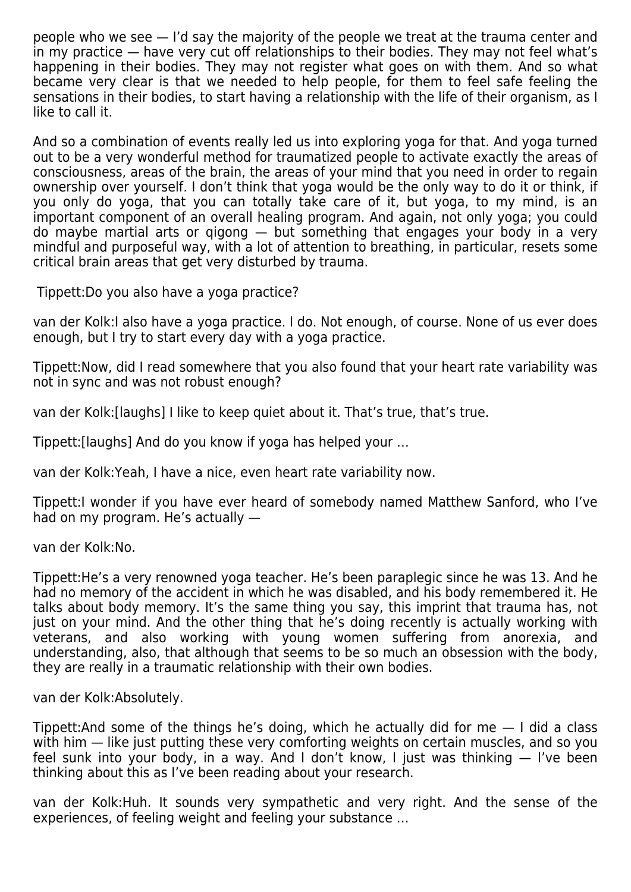people who we see — I'd say the majority of the people we treat at the trauma center and in my practice — have very cut off relationships to their bodies. They may not feel what's happening in their bodies. They may not register what goes on with them. And so what became very clear is that we needed to help people, for them to feel safe feeling the sensations in their bodies, to start having a relationship with the life of their organism, as I like to call it.

And so a combination of events really led us into exploring yoga for that. And yoga turned out to be a very wonderful method for traumatized people to activate exactly the areas of consciousness, areas of the brain, the areas of your mind that you need in order to regain ownership over yourself. I don't think that yoga would be the only way to do it or think, if you only do yoga, that you can totally take care of it, but yoga, to my mind, is an important component of an overall healing program. And again, not only yoga; you could do maybe martial arts or qigong — but something that engages your body in a very mindful and purposeful way, with a lot of attention to breathing, in particular, resets some critical brain areas that get very disturbed by trauma.

Tippett:Do you also have a yoga practice?

van der Kolk:I also have a yoga practice. I do. Not enough, of course. None of us ever does enough, but I try to start every day with a yoga practice.

Tippett:Now, did I read somewhere that you also found that your heart rate variability was not in sync and was not robust enough?

van der Kolk:[laughs] I like to keep quiet about it. That's true, that's true.

Tippett:[laughs] And do you know if yoga has helped your …

van der Kolk:Yeah, I have a nice, even heart rate variability now.

Tippett:I wonder if you have ever heard of somebody named Matthew Sanford, who I've had on my program. He's actually —

van der Kolk:No.

Tippett:He's a very renowned yoga teacher. He's been paraplegic since he was 13. And he had no memory of the accident in which he was disabled, and his body remembered it. He talks about body memory. It's the same thing you say, this imprint that trauma has, not just on your mind. And the other thing that he's doing recently is actually working with veterans, and also working with young women suffering from anorexia, and understanding, also, that although that seems to be so much an obsession with the body, they are really in a traumatic relationship with their own bodies.

van der Kolk:Absolutely.

Tippett:And some of the things he's doing, which he actually did for me — I did a class with him — like just putting these very comforting weights on certain muscles, and so you feel sunk into your body, in a way. And I don't know, I just was thinking — I've been thinking about this as I've been reading about your research.

van der Kolk:Huh. It sounds very sympathetic and very right. And the sense of the experiences, of feeling weight and feeling your substance …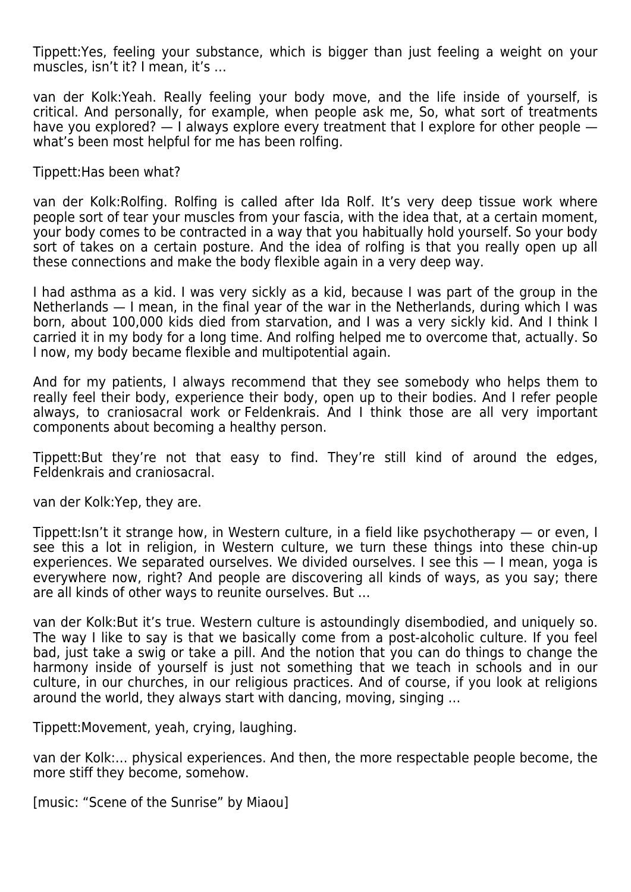Tippett:Yes, feeling your substance, which is bigger than just feeling a weight on your muscles, isn't it? I mean, it's …

van der Kolk:Yeah. Really feeling your body move, and the life inside of yourself, is critical. And personally, for example, when people ask me, So, what sort of treatments have you explored? — I always explore every treatment that I explore for other people what's been most helpful for me has been rolfing.

Tippett:Has been what?

van der Kolk:Rolfing. Rolfing is called after Ida Rolf. It's very deep tissue work where people sort of tear your muscles from your fascia, with the idea that, at a certain moment, your body comes to be contracted in a way that you habitually hold yourself. So your body sort of takes on a certain posture. And the idea of rolfing is that you really open up all these connections and make the body flexible again in a very deep way.

I had asthma as a kid. I was very sickly as a kid, because I was part of the group in the Netherlands — I mean, in the final year of the war in the Netherlands, during which I was born, about 100,000 kids died from starvation, and I was a very sickly kid. And I think I carried it in my body for a long time. And rolfing helped me to overcome that, actually. So I now, my body became flexible and multipotential again.

And for my patients, I always recommend that they see somebody who helps them to really feel their body, experience their body, open up to their bodies. And I refer people always, to craniosacral work or Feldenkrais. And I think those are all very important components about becoming a healthy person.

Tippett:But they're not that easy to find. They're still kind of around the edges, Feldenkrais and craniosacral.

van der Kolk:Yep, they are.

Tippett:Isn't it strange how, in Western culture, in a field like psychotherapy — or even, I see this a lot in religion, in Western culture, we turn these things into these chin-up experiences. We separated ourselves. We divided ourselves. I see this — I mean, yoga is everywhere now, right? And people are discovering all kinds of ways, as you say; there are all kinds of other ways to reunite ourselves. But …

van der Kolk:But it's true. Western culture is astoundingly disembodied, and uniquely so. The way I like to say is that we basically come from a post-alcoholic culture. If you feel bad, just take a swig or take a pill. And the notion that you can do things to change the harmony inside of yourself is just not something that we teach in schools and in our culture, in our churches, in our religious practices. And of course, if you look at religions around the world, they always start with dancing, moving, singing …

Tippett:Movement, yeah, crying, laughing.

van der Kolk:… physical experiences. And then, the more respectable people become, the more stiff they become, somehow.

[music: "Scene of the Sunrise" by Miaou]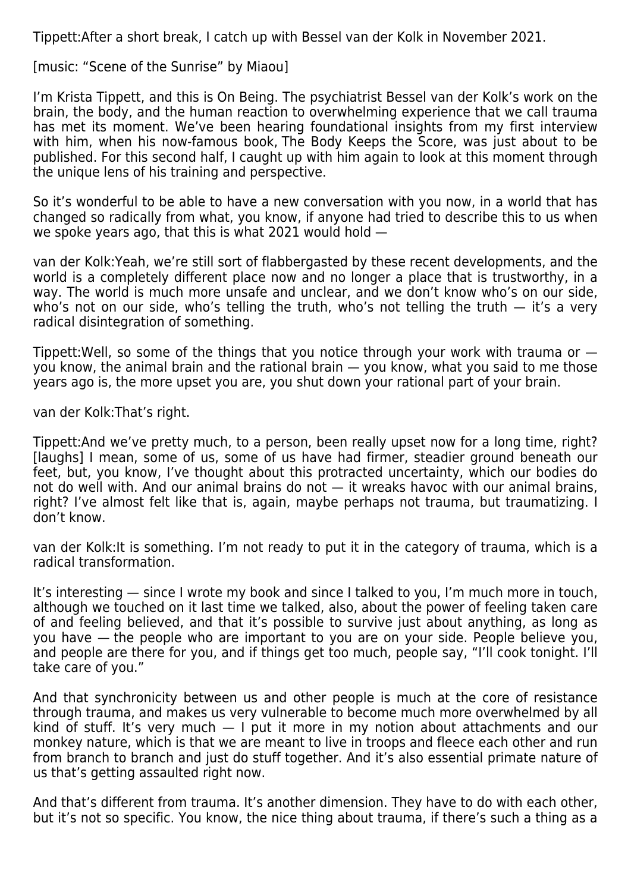Tippett:After a short break, I catch up with Bessel van der Kolk in November 2021.

[music: "Scene of the Sunrise" by Miaou]

I'm Krista Tippett, and this is On Being. The psychiatrist Bessel van der Kolk's work on the brain, the body, and the human reaction to overwhelming experience that we call trauma has met its moment. We've been hearing foundational insights from my first interview with him, when his now-famous book, The Body Keeps the Score, was just about to be published. For this second half, I caught up with him again to look at this moment through the unique lens of his training and perspective.

So it's wonderful to be able to have a new conversation with you now, in a world that has changed so radically from what, you know, if anyone had tried to describe this to us when we spoke years ago, that this is what 2021 would hold —

van der Kolk:Yeah, we're still sort of flabbergasted by these recent developments, and the world is a completely different place now and no longer a place that is trustworthy, in a way. The world is much more unsafe and unclear, and we don't know who's on our side, who's not on our side, who's telling the truth, who's not telling the truth  $-$  it's a very radical disintegration of something.

Tippett:Well, so some of the things that you notice through your work with trauma or you know, the animal brain and the rational brain — you know, what you said to me those years ago is, the more upset you are, you shut down your rational part of your brain.

van der Kolk:That's right.

Tippett:And we've pretty much, to a person, been really upset now for a long time, right? [laughs] I mean, some of us, some of us have had firmer, steadier ground beneath our feet, but, you know, I've thought about this protracted uncertainty, which our bodies do not do well with. And our animal brains do not — it wreaks havoc with our animal brains, right? I've almost felt like that is, again, maybe perhaps not trauma, but traumatizing. I don't know.

van der Kolk:It is something. I'm not ready to put it in the category of trauma, which is a radical transformation.

It's interesting — since I wrote my book and since I talked to you, I'm much more in touch, although we touched on it last time we talked, also, about the power of feeling taken care of and feeling believed, and that it's possible to survive just about anything, as long as you have — the people who are important to you are on your side. People believe you, and people are there for you, and if things get too much, people say, "I'll cook tonight. I'll take care of you."

And that synchronicity between us and other people is much at the core of resistance through trauma, and makes us very vulnerable to become much more overwhelmed by all kind of stuff. It's very much  $-1$  put it more in my notion about attachments and our monkey nature, which is that we are meant to live in troops and fleece each other and run from branch to branch and just do stuff together. And it's also essential primate nature of us that's getting assaulted right now.

And that's different from trauma. It's another dimension. They have to do with each other, but it's not so specific. You know, the nice thing about trauma, if there's such a thing as a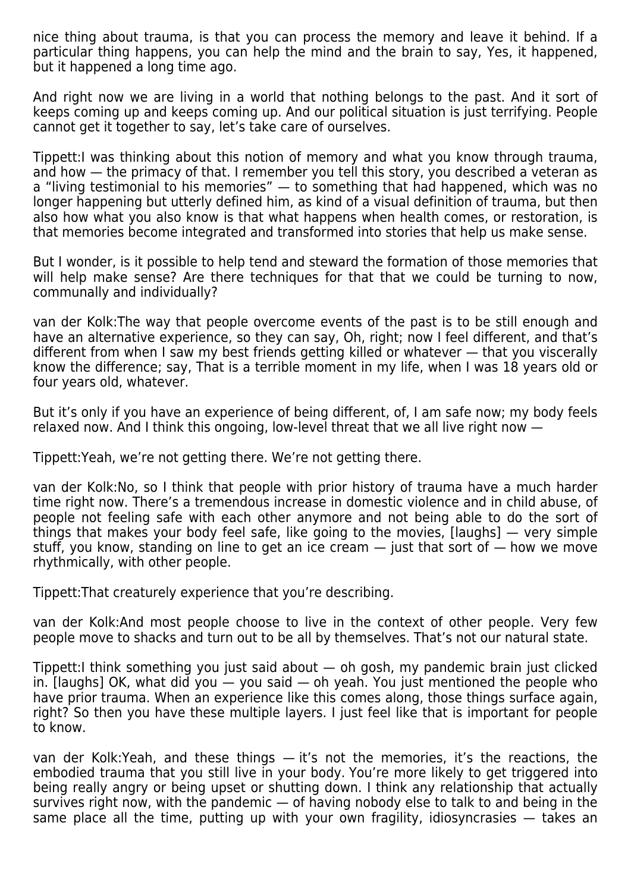nice thing about trauma, is that you can process the memory and leave it behind. If a particular thing happens, you can help the mind and the brain to say, Yes, it happened, but it happened a long time ago.

And right now we are living in a world that nothing belongs to the past. And it sort of keeps coming up and keeps coming up. And our political situation is just terrifying. People cannot get it together to say, let's take care of ourselves.

Tippett:I was thinking about this notion of memory and what you know through trauma, and how — the primacy of that. I remember you tell this story, you described a veteran as a "living testimonial to his memories" — to something that had happened, which was no longer happening but utterly defined him, as kind of a visual definition of trauma, but then also how what you also know is that what happens when health comes, or restoration, is that memories become integrated and transformed into stories that help us make sense.

But I wonder, is it possible to help tend and steward the formation of those memories that will help make sense? Are there techniques for that that we could be turning to now, communally and individually?

van der Kolk:The way that people overcome events of the past is to be still enough and have an alternative experience, so they can say, Oh, right; now I feel different, and that's different from when I saw my best friends getting killed or whatever — that you viscerally know the difference; say, That is a terrible moment in my life, when I was 18 years old or four years old, whatever.

But it's only if you have an experience of being different, of, I am safe now; my body feels relaxed now. And I think this ongoing, low-level threat that we all live right now —

Tippett:Yeah, we're not getting there. We're not getting there.

van der Kolk:No, so I think that people with prior history of trauma have a much harder time right now. There's a tremendous increase in domestic violence and in child abuse, of people not feeling safe with each other anymore and not being able to do the sort of things that makes your body feel safe, like going to the movies, [laughs] — very simple stuff, you know, standing on line to get an ice cream  $-$  just that sort of  $-$  how we move rhythmically, with other people.

Tippett:That creaturely experience that you're describing.

van der Kolk:And most people choose to live in the context of other people. Very few people move to shacks and turn out to be all by themselves. That's not our natural state.

Tippett:I think something you just said about — oh gosh, my pandemic brain just clicked in.  $[$ laughs] OK, what did you  $-$  you said  $-$  oh yeah. You just mentioned the people who have prior trauma. When an experience like this comes along, those things surface again, right? So then you have these multiple layers. I just feel like that is important for people to know.

van der Kolk:Yeah, and these things — it's not the memories, it's the reactions, the embodied trauma that you still live in your body. You're more likely to get triggered into being really angry or being upset or shutting down. I think any relationship that actually survives right now, with the pandemic — of having nobody else to talk to and being in the same place all the time, putting up with your own fragility, idiosyncrasies — takes an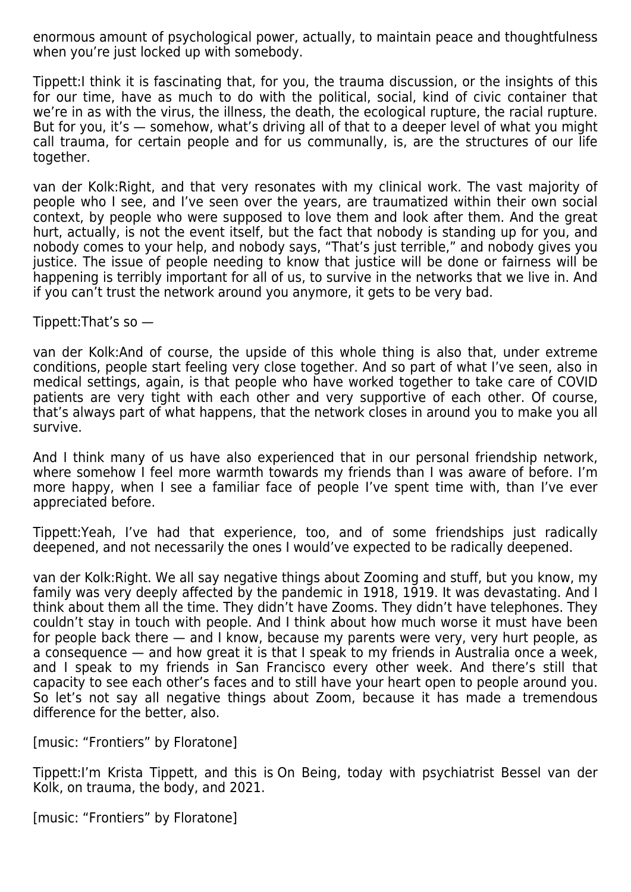enormous amount of psychological power, actually, to maintain peace and thoughtfulness when you're just locked up with somebody.

Tippett:I think it is fascinating that, for you, the trauma discussion, or the insights of this for our time, have as much to do with the political, social, kind of civic container that we're in as with the virus, the illness, the death, the ecological rupture, the racial rupture. But for you, it's — somehow, what's driving all of that to a deeper level of what you might call trauma, for certain people and for us communally, is, are the structures of our life together.

van der Kolk:Right, and that very resonates with my clinical work. The vast majority of people who I see, and I've seen over the years, are traumatized within their own social context, by people who were supposed to love them and look after them. And the great hurt, actually, is not the event itself, but the fact that nobody is standing up for you, and nobody comes to your help, and nobody says, "That's just terrible," and nobody gives you justice. The issue of people needing to know that justice will be done or fairness will be happening is terribly important for all of us, to survive in the networks that we live in. And if you can't trust the network around you anymore, it gets to be very bad.

Tippett: That's so  $-$ 

van der Kolk:And of course, the upside of this whole thing is also that, under extreme conditions, people start feeling very close together. And so part of what I've seen, also in medical settings, again, is that people who have worked together to take care of COVID patients are very tight with each other and very supportive of each other. Of course, that's always part of what happens, that the network closes in around you to make you all survive.

And I think many of us have also experienced that in our personal friendship network, where somehow I feel more warmth towards my friends than I was aware of before. I'm more happy, when I see a familiar face of people I've spent time with, than I've ever appreciated before.

Tippett:Yeah, I've had that experience, too, and of some friendships just radically deepened, and not necessarily the ones I would've expected to be radically deepened.

van der Kolk:Right. We all say negative things about Zooming and stuff, but you know, my family was very deeply affected by the pandemic in 1918, 1919. It was devastating. And I think about them all the time. They didn't have Zooms. They didn't have telephones. They couldn't stay in touch with people. And I think about how much worse it must have been for people back there — and I know, because my parents were very, very hurt people, as a consequence — and how great it is that I speak to my friends in Australia once a week, and I speak to my friends in San Francisco every other week. And there's still that capacity to see each other's faces and to still have your heart open to people around you. So let's not say all negative things about Zoom, because it has made a tremendous difference for the better, also.

[music: "Frontiers" by Floratone]

Tippett:I'm Krista Tippett, and this is On Being, today with psychiatrist Bessel van der Kolk, on trauma, the body, and 2021.

[music: "Frontiers" by Floratone]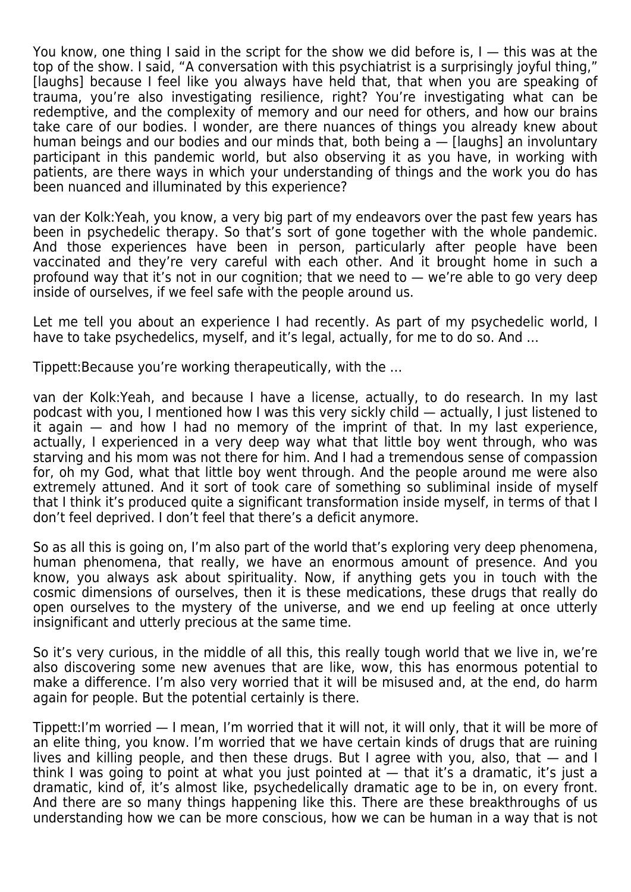You know, one thing I said in the script for the show we did before is,  $I -$  this was at the top of the show. I said, "A conversation with this psychiatrist is a surprisingly joyful thing," [laughs] because I feel like you always have held that, that when you are speaking of trauma, you're also investigating resilience, right? You're investigating what can be redemptive, and the complexity of memory and our need for others, and how our brains take care of our bodies. I wonder, are there nuances of things you already knew about human beings and our bodies and our minds that, both being  $a -$  [laughs] an involuntary participant in this pandemic world, but also observing it as you have, in working with patients, are there ways in which your understanding of things and the work you do has been nuanced and illuminated by this experience?

van der Kolk:Yeah, you know, a very big part of my endeavors over the past few years has been in psychedelic therapy. So that's sort of gone together with the whole pandemic. And those experiences have been in person, particularly after people have been vaccinated and they're very careful with each other. And it brought home in such a profound way that it's not in our cognition; that we need to — we're able to go very deep inside of ourselves, if we feel safe with the people around us.

Let me tell you about an experience I had recently. As part of my psychedelic world, I have to take psychedelics, myself, and it's legal, actually, for me to do so. And …

Tippett:Because you're working therapeutically, with the …

van der Kolk:Yeah, and because I have a license, actually, to do research. In my last podcast with you, I mentioned how I was this very sickly child — actually, I just listened to it again — and how I had no memory of the imprint of that. In my last experience, actually, I experienced in a very deep way what that little boy went through, who was starving and his mom was not there for him. And I had a tremendous sense of compassion for, oh my God, what that little boy went through. And the people around me were also extremely attuned. And it sort of took care of something so subliminal inside of myself that I think it's produced quite a significant transformation inside myself, in terms of that I don't feel deprived. I don't feel that there's a deficit anymore.

So as all this is going on, I'm also part of the world that's exploring very deep phenomena, human phenomena, that really, we have an enormous amount of presence. And you know, you always ask about spirituality. Now, if anything gets you in touch with the cosmic dimensions of ourselves, then it is these medications, these drugs that really do open ourselves to the mystery of the universe, and we end up feeling at once utterly insignificant and utterly precious at the same time.

So it's very curious, in the middle of all this, this really tough world that we live in, we're also discovering some new avenues that are like, wow, this has enormous potential to make a difference. I'm also very worried that it will be misused and, at the end, do harm again for people. But the potential certainly is there.

Tippett:I'm worried — I mean, I'm worried that it will not, it will only, that it will be more of an elite thing, you know. I'm worried that we have certain kinds of drugs that are ruining lives and killing people, and then these drugs. But I agree with you, also, that — and I think I was going to point at what you just pointed at  $-$  that it's a dramatic, it's just a dramatic, kind of, it's almost like, psychedelically dramatic age to be in, on every front. And there are so many things happening like this. There are these breakthroughs of us understanding how we can be more conscious, how we can be human in a way that is not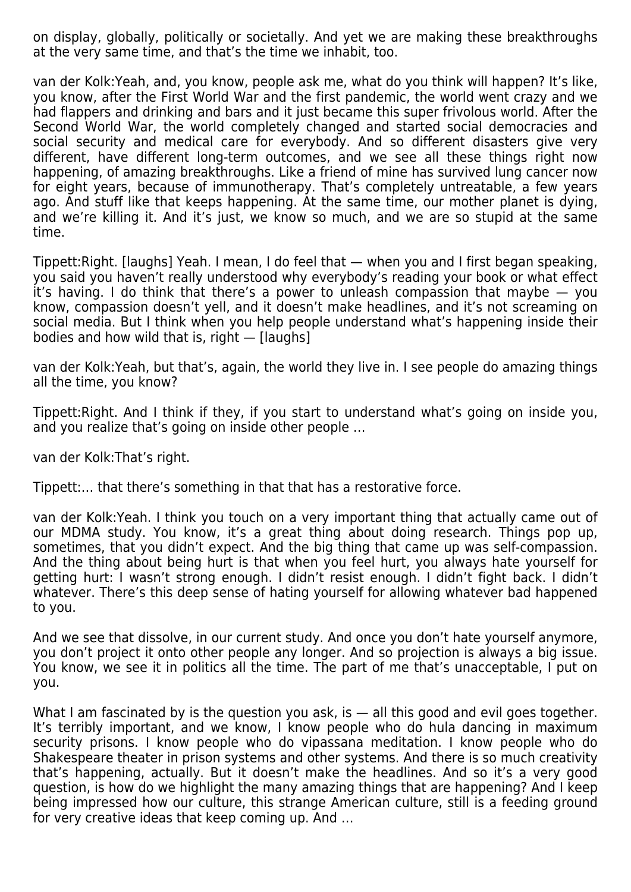on display, globally, politically or societally. And yet we are making these breakthroughs at the very same time, and that's the time we inhabit, too.

van der Kolk:Yeah, and, you know, people ask me, what do you think will happen? It's like, you know, after the First World War and the first pandemic, the world went crazy and we had flappers and drinking and bars and it just became this super frivolous world. After the Second World War, the world completely changed and started social democracies and social security and medical care for everybody. And so different disasters give very different, have different long-term outcomes, and we see all these things right now happening, of amazing breakthroughs. Like a friend of mine has survived lung cancer now for eight years, because of immunotherapy. That's completely untreatable, a few years ago. And stuff like that keeps happening. At the same time, our mother planet is dying, and we're killing it. And it's just, we know so much, and we are so stupid at the same time.

Tippett:Right. [laughs] Yeah. I mean, I do feel that — when you and I first began speaking, you said you haven't really understood why everybody's reading your book or what effect it's having. I do think that there's a power to unleash compassion that maybe — you know, compassion doesn't yell, and it doesn't make headlines, and it's not screaming on social media. But I think when you help people understand what's happening inside their bodies and how wild that is, right — [laughs]

van der Kolk:Yeah, but that's, again, the world they live in. I see people do amazing things all the time, you know?

Tippett:Right. And I think if they, if you start to understand what's going on inside you, and you realize that's going on inside other people …

van der Kolk:That's right.

Tippett:… that there's something in that that has a restorative force.

van der Kolk:Yeah. I think you touch on a very important thing that actually came out of our MDMA study. You know, it's a great thing about doing research. Things pop up, sometimes, that you didn't expect. And the big thing that came up was self-compassion. And the thing about being hurt is that when you feel hurt, you always hate yourself for getting hurt: I wasn't strong enough. I didn't resist enough. I didn't fight back. I didn't whatever. There's this deep sense of hating yourself for allowing whatever bad happened to you.

And we see that dissolve, in our current study. And once you don't hate yourself anymore, you don't project it onto other people any longer. And so projection is always a big issue. You know, we see it in politics all the time. The part of me that's unacceptable, I put on you.

What I am fascinated by is the question you ask, is — all this good and evil goes together. It's terribly important, and we know, I know people who do hula dancing in maximum security prisons. I know people who do vipassana meditation. I know people who do Shakespeare theater in prison systems and other systems. And there is so much creativity that's happening, actually. But it doesn't make the headlines. And so it's a very good question, is how do we highlight the many amazing things that are happening? And I keep being impressed how our culture, this strange American culture, still is a feeding ground for very creative ideas that keep coming up. And …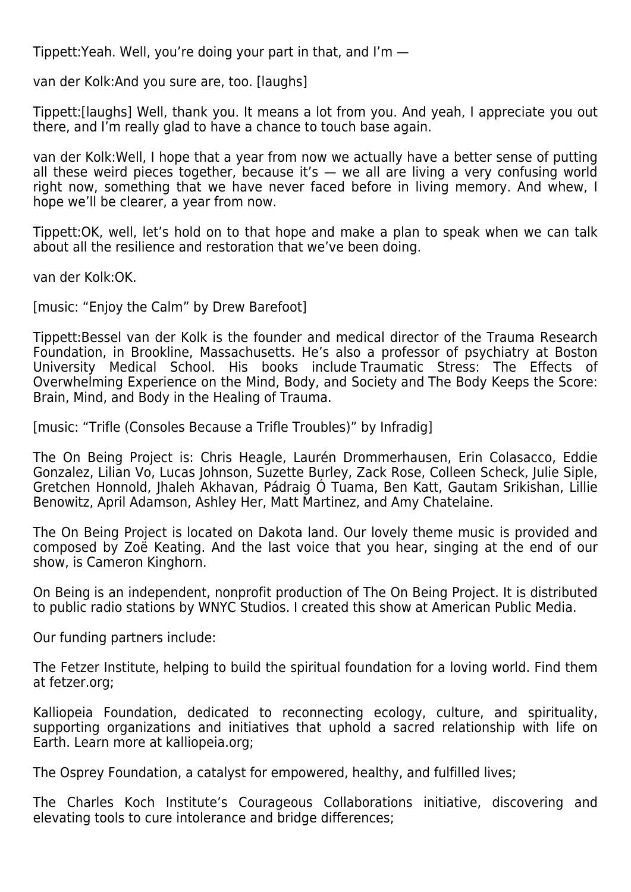Tippett:Yeah. Well, you're doing your part in that, and I'm —

van der Kolk:And you sure are, too. [laughs]

Tippett:[laughs] Well, thank you. It means a lot from you. And yeah, I appreciate you out there, and I'm really glad to have a chance to touch base again.

van der Kolk:Well, I hope that a year from now we actually have a better sense of putting all these weird pieces together, because it's  $-$  we all are living a very confusing world right now, something that we have never faced before in living memory. And whew, I hope we'll be clearer, a year from now.

Tippett:OK, well, let's hold on to that hope and make a plan to speak when we can talk about all the resilience and restoration that we've been doing.

van der Kolk:OK.

[music: "Enjoy the Calm" by Drew Barefoot]

Tippett:Bessel van der Kolk is the founder and medical director of the Trauma Research Foundation, in Brookline, Massachusetts. He's also a professor of psychiatry at Boston University Medical School. His books include Traumatic Stress: The Effects of Overwhelming Experience on the Mind, Body, and Society and The Body Keeps the Score: Brain, Mind, and Body in the Healing of Trauma.

[music: "Trifle (Consoles Because a Trifle Troubles)" by Infradig]

The On Being Project is: Chris Heagle, Laurén Drommerhausen, Erin Colasacco, Eddie Gonzalez, Lilian Vo, Lucas Johnson, Suzette Burley, Zack Rose, Colleen Scheck, Julie Siple, Gretchen Honnold, Jhaleh Akhavan, Pádraig Ó Tuama, Ben Katt, Gautam Srikishan, Lillie Benowitz, April Adamson, Ashley Her, Matt Martinez, and Amy Chatelaine.

The On Being Project is located on Dakota land. Our lovely theme music is provided and composed by Zoë Keating. And the last voice that you hear, singing at the end of our show, is Cameron Kinghorn.

On Being is an independent, nonprofit production of The On Being Project. It is distributed to public radio stations by WNYC Studios. I created this show at American Public Media.

Our funding partners include:

The Fetzer Institute, helping to build the spiritual foundation for a loving world. Find them at fetzer.org;

Kalliopeia Foundation, dedicated to reconnecting ecology, culture, and spirituality, supporting organizations and initiatives that uphold a sacred relationship with life on Earth. Learn more at kalliopeia.org;

The Osprey Foundation, a catalyst for empowered, healthy, and fulfilled lives;

The Charles Koch Institute's Courageous Collaborations initiative, discovering and elevating tools to cure intolerance and bridge differences;